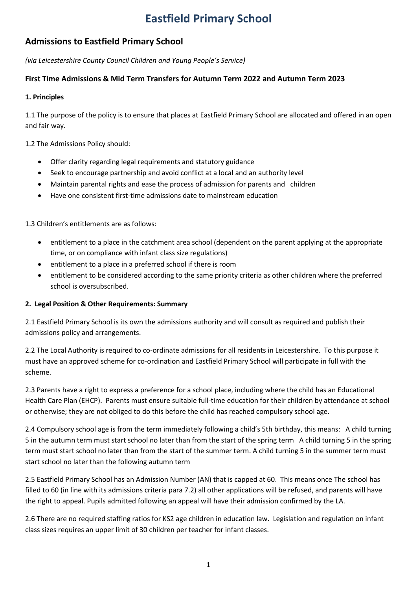# **Eastfield Primary School**

# **Admissions to Eastfield Primary School**

*(via Leicestershire County Council Children and Young People's Service)*

# **First Time Admissions & Mid Term Transfers for Autumn Term 2022 and Autumn Term 2023**

# **1. Principles**

1.1 The purpose of the policy is to ensure that places at Eastfield Primary School are allocated and offered in an open and fair way.

1.2 The Admissions Policy should:

- Offer clarity regarding legal requirements and statutory guidance
- Seek to encourage partnership and avoid conflict at a local and an authority level
- Maintain parental rights and ease the process of admission for parents and children
- Have one consistent first-time admissions date to mainstream education

1.3 Children's entitlements are as follows:

- entitlement to a place in the catchment area school (dependent on the parent applying at the appropriate time, or on compliance with infant class size regulations)
- entitlement to a place in a preferred school if there is room
- entitlement to be considered according to the same priority criteria as other children where the preferred school is oversubscribed.

## **2. Legal Position & Other Requirements: Summary**

2.1 Eastfield Primary School is its own the admissions authority and will consult as required and publish their admissions policy and arrangements.

2.2 The Local Authority is required to co-ordinate admissions for all residents in Leicestershire. To this purpose it must have an approved scheme for co-ordination and Eastfield Primary School will participate in full with the scheme.

2.3 Parents have a right to express a preference for a school place, including where the child has an Educational Health Care Plan (EHCP). Parents must ensure suitable full-time education for their children by attendance at school or otherwise; they are not obliged to do this before the child has reached compulsory school age.

2.4 Compulsory school age is from the term immediately following a child's 5th birthday, this means: A child turning 5 in the autumn term must start school no later than from the start of the spring term A child turning 5 in the spring term must start school no later than from the start of the summer term. A child turning 5 in the summer term must start school no later than the following autumn term

2.5 Eastfield Primary School has an Admission Number (AN) that is capped at 60. This means once The school has filled to 60 (in line with its admissions criteria para 7.2) all other applications will be refused, and parents will have the right to appeal. Pupils admitted following an appeal will have their admission confirmed by the LA.

2.6 There are no required staffing ratios for KS2 age children in education law. Legislation and regulation on infant class sizes requires an upper limit of 30 children per teacher for infant classes.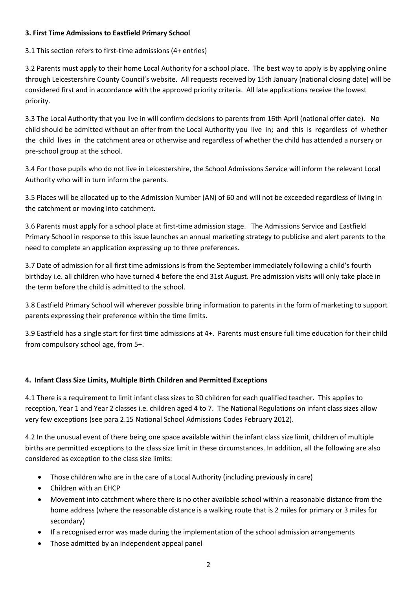# **3. First Time Admissions to Eastfield Primary School**

3.1 This section refers to first-time admissions (4+ entries)

3.2 Parents must apply to their home Local Authority for a school place. The best way to apply is by applying online through Leicestershire County Council's website. All requests received by 15th January (national closing date) will be considered first and in accordance with the approved priority criteria. All late applications receive the lowest priority.

3.3 The Local Authority that you live in will confirm decisions to parents from 16th April (national offer date). No child should be admitted without an offer from the Local Authority you live in; and this is regardless of whether the child lives in the catchment area or otherwise and regardless of whether the child has attended a nursery or pre-school group at the school.

3.4 For those pupils who do not live in Leicestershire, the School Admissions Service will inform the relevant Local Authority who will in turn inform the parents.

3.5 Places will be allocated up to the Admission Number (AN) of 60 and will not be exceeded regardless of living in the catchment or moving into catchment.

3.6 Parents must apply for a school place at first-time admission stage. The Admissions Service and Eastfield Primary School in response to this issue launches an annual marketing strategy to publicise and alert parents to the need to complete an application expressing up to three preferences.

3.7 Date of admission for all first time admissions is from the September immediately following a child's fourth birthday i.e. all children who have turned 4 before the end 31st August. Pre admission visits will only take place in the term before the child is admitted to the school.

3.8 Eastfield Primary School will wherever possible bring information to parents in the form of marketing to support parents expressing their preference within the time limits.

3.9 Eastfield has a single start for first time admissions at 4+. Parents must ensure full time education for their child from compulsory school age, from 5+.

# **4. Infant Class Size Limits, Multiple Birth Children and Permitted Exceptions**

4.1 There is a requirement to limit infant class sizes to 30 children for each qualified teacher. This applies to reception, Year 1 and Year 2 classes i.e. children aged 4 to 7. The National Regulations on infant class sizes allow very few exceptions (see para 2.15 National School Admissions Codes February 2012).

4.2 In the unusual event of there being one space available within the infant class size limit, children of multiple births are permitted exceptions to the class size limit in these circumstances. In addition, all the following are also considered as exception to the class size limits:

- Those children who are in the care of a Local Authority (including previously in care)
- Children with an EHCP
- Movement into catchment where there is no other available school within a reasonable distance from the home address (where the reasonable distance is a walking route that is 2 miles for primary or 3 miles for secondary)
- If a recognised error was made during the implementation of the school admission arrangements
- Those admitted by an independent appeal panel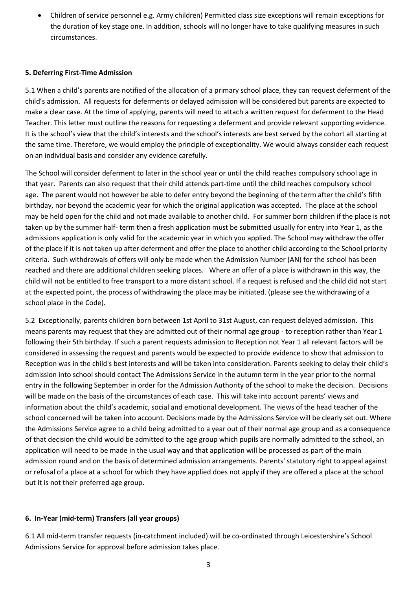Children of service personnel e.g. Army children) Permitted class size exceptions will remain exceptions for the duration of key stage one. In addition, schools will no longer have to take qualifying measures in such circumstances.

#### **5. Deferring First-Time Admission**

5.1 When a child's parents are notified of the allocation of a primary school place, they can request deferment of the child's admission. All requests for deferments or delayed admission will be considered but parents are expected to make a clear case. At the time of applying, parents will need to attach a written request for deferment to the Head Teacher. This letter must outline the reasons for requesting a deferment and provide relevant supporting evidence. It is the school's view that the child's interests and the school's interests are best served by the cohort all starting at the same time. Therefore, we would employ the principle of exceptionality. We would always consider each request on an individual basis and consider any evidence carefully.

The School will consider deferment to later in the school year or until the child reaches compulsory school age in that year. Parents can also request that their child attends part-time until the child reaches compulsory school age. The parent would not however be able to defer entry beyond the beginning of the term after the child's fifth birthday, nor beyond the academic year for which the original application was accepted. The place at the school may be held open for the child and not made available to another child. For summer born children if the place is not taken up by the summer half- term then a fresh application must be submitted usually for entry into Year 1, as the admissions application is only valid for the academic year in which you applied. The School may withdraw the offer of the place if it is not taken up after deferment and offer the place to another child according to the School priority criteria. Such withdrawals of offers will only be made when the Admission Number (AN) for the school has been reached and there are additional children seeking places. Where an offer of a place is withdrawn in this way, the child will not be entitled to free transport to a more distant school. If a request is refused and the child did not start at the expected point, the process of withdrawing the place may be initiated. (please see the withdrawing of a school place in the Code).

5.2 Exceptionally, parents children born between 1st April to 31st August, can request delayed admission. This means parents may request that they are admitted out of their normal age group - to reception rather than Year 1 following their 5th birthday. If such a parent requests admission to Reception not Year 1 all relevant factors will be considered in assessing the request and parents would be expected to provide evidence to show that admission to Reception was in the child's best interests and will be taken into consideration. Parents seeking to delay their child's admission into school should contact The Admissions Service in the autumn term in the year prior to the normal entry in the following September in order for the Admission Authority of the school to make the decision. Decisions will be made on the basis of the circumstances of each case. This will take into account parents' views and information about the child's academic, social and emotional development. The views of the head teacher of the school concerned will be taken into account. Decisions made by the Admissions Service will be clearly set out. Where the Admissions Service agree to a child being admitted to a year out of their normal age group and as a consequence of that decision the child would be admitted to the age group which pupils are normally admitted to the school, an application will need to be made in the usual way and that application will be processed as part of the main admission round and on the basis of determined admission arrangements. Parents' statutory right to appeal against or refusal of a place at a school for which they have applied does not apply if they are offered a place at the school but it is not their preferred age group.

## **6. In-Year (mid-term) Transfers (all year groups)**

6.1 All mid-term transfer requests (in-catchment included) will be co-ordinated through Leicestershire's School Admissions Service for approval before admission takes place.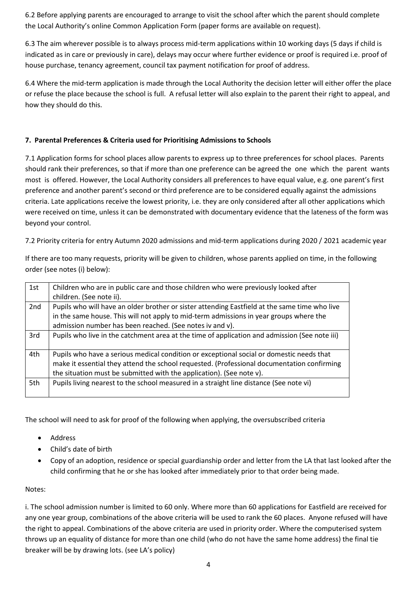6.2 Before applying parents are encouraged to arrange to visit the school after which the parent should complete the Local Authority's online Common Application Form (paper forms are available on request).

6.3 The aim wherever possible is to always process mid-term applications within 10 working days (5 days if child is indicated as in care or previously in care), delays may occur where further evidence or proof is required i.e. proof of house purchase, tenancy agreement, council tax payment notification for proof of address.

6.4 Where the mid-term application is made through the Local Authority the decision letter will either offer the place or refuse the place because the school is full. A refusal letter will also explain to the parent their right to appeal, and how they should do this.

# **7. Parental Preferences & Criteria used for Prioritising Admissions to Schools**

7.1 Application forms for school places allow parents to express up to three preferences for school places. Parents should rank their preferences, so that if more than one preference can be agreed the one which the parent wants most is offered. However, the Local Authority considers all preferences to have equal value, e.g. one parent's first preference and another parent's second or third preference are to be considered equally against the admissions criteria. Late applications receive the lowest priority, i.e. they are only considered after all other applications which were received on time, unless it can be demonstrated with documentary evidence that the lateness of the form was beyond your control.

7.2 Priority criteria for entry Autumn 2020 admissions and mid-term applications during 2020 / 2021 academic year

If there are too many requests, priority will be given to children, whose parents applied on time, in the following order (see notes (i) below):

| 1st | Children who are in public care and those children who were previously looked after           |
|-----|-----------------------------------------------------------------------------------------------|
|     | children. (See note ii).                                                                      |
| 2nd | Pupils who will have an older brother or sister attending Eastfield at the same time who live |
|     | in the same house. This will not apply to mid-term admissions in year groups where the        |
|     | admission number has been reached. (See notes iv and v).                                      |
| 3rd | Pupils who live in the catchment area at the time of application and admission (See note iii) |
|     |                                                                                               |
| 4th | Pupils who have a serious medical condition or exceptional social or domestic needs that      |
|     | make it essential they attend the school requested. (Professional documentation confirming    |
|     | the situation must be submitted with the application). (See note v).                          |
| 5th | Pupils living nearest to the school measured in a straight line distance (See note vi)        |
|     |                                                                                               |

The school will need to ask for proof of the following when applying, the oversubscribed criteria

- Address
- Child's date of birth
- Copy of an adoption, residence or special guardianship order and letter from the LA that last looked after the child confirming that he or she has looked after immediately prior to that order being made.

## Notes:

i. The school admission number is limited to 60 only. Where more than 60 applications for Eastfield are received for any one year group, combinations of the above criteria will be used to rank the 60 places. Anyone refused will have the right to appeal. Combinations of the above criteria are used in priority order. Where the computerised system throws up an equality of distance for more than one child (who do not have the same home address) the final tie breaker will be by drawing lots. (see LA's policy)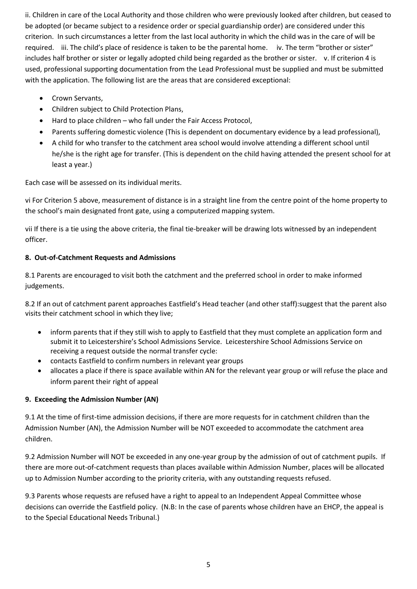ii. Children in care of the Local Authority and those children who were previously looked after children, but ceased to be adopted (or became subject to a residence order or special guardianship order) are considered under this criterion. In such circumstances a letter from the last local authority in which the child was in the care of will be required. iii. The child's place of residence is taken to be the parental home. iv. The term "brother or sister" includes half brother or sister or legally adopted child being regarded as the brother or sister. v. If criterion 4 is used, professional supporting documentation from the Lead Professional must be supplied and must be submitted with the application. The following list are the areas that are considered exceptional:

- Crown Servants.
- Children subject to Child Protection Plans,
- Hard to place children who fall under the Fair Access Protocol,
- Parents suffering domestic violence (This is dependent on documentary evidence by a lead professional),
- A child for who transfer to the catchment area school would involve attending a different school until he/she is the right age for transfer. (This is dependent on the child having attended the present school for at least a year.)

Each case will be assessed on its individual merits.

vi For Criterion 5 above, measurement of distance is in a straight line from the centre point of the home property to the school's main designated front gate, using a computerized mapping system.

vii If there is a tie using the above criteria, the final tie-breaker will be drawing lots witnessed by an independent officer.

# **8. Out-of-Catchment Requests and Admissions**

8.1 Parents are encouraged to visit both the catchment and the preferred school in order to make informed judgements.

8.2 If an out of catchment parent approaches Eastfield's Head teacher (and other staff):suggest that the parent also visits their catchment school in which they live;

- inform parents that if they still wish to apply to Eastfield that they must complete an application form and submit it to Leicestershire's School Admissions Service. Leicestershire School Admissions Service on receiving a request outside the normal transfer cycle:
- contacts Eastfield to confirm numbers in relevant year groups
- allocates a place if there is space available within AN for the relevant year group or will refuse the place and inform parent their right of appeal

## **9. Exceeding the Admission Number (AN)**

9.1 At the time of first-time admission decisions, if there are more requests for in catchment children than the Admission Number (AN), the Admission Number will be NOT exceeded to accommodate the catchment area children.

9.2 Admission Number will NOT be exceeded in any one-year group by the admission of out of catchment pupils. If there are more out-of-catchment requests than places available within Admission Number, places will be allocated up to Admission Number according to the priority criteria, with any outstanding requests refused.

9.3 Parents whose requests are refused have a right to appeal to an Independent Appeal Committee whose decisions can override the Eastfield policy. (N.B: In the case of parents whose children have an EHCP, the appeal is to the Special Educational Needs Tribunal.)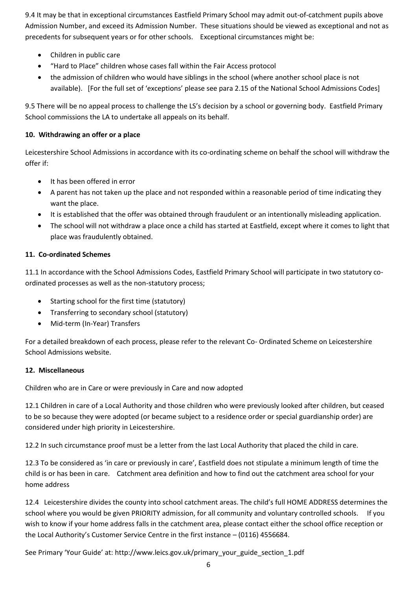9.4 It may be that in exceptional circumstances Eastfield Primary School may admit out-of-catchment pupils above Admission Number, and exceed its Admission Number. These situations should be viewed as exceptional and not as precedents for subsequent years or for other schools. Exceptional circumstances might be:

- Children in public care
- "Hard to Place" children whose cases fall within the Fair Access protocol
- the admission of children who would have siblings in the school (where another school place is not available). [For the full set of 'exceptions' please see para 2.15 of the National School Admissions Codes]

9.5 There will be no appeal process to challenge the LS's decision by a school or governing body. Eastfield Primary School commissions the LA to undertake all appeals on its behalf.

## **10. Withdrawing an offer or a place**

Leicestershire School Admissions in accordance with its co-ordinating scheme on behalf the school will withdraw the offer if:

- It has been offered in error
- A parent has not taken up the place and not responded within a reasonable period of time indicating they want the place.
- It is established that the offer was obtained through fraudulent or an intentionally misleading application.
- The school will not withdraw a place once a child has started at Eastfield, except where it comes to light that place was fraudulently obtained.

## **11. Co-ordinated Schemes**

11.1 In accordance with the School Admissions Codes, Eastfield Primary School will participate in two statutory coordinated processes as well as the non-statutory process;

- Starting school for the first time (statutory)
- Transferring to secondary school (statutory)
- Mid-term (In-Year) Transfers

For a detailed breakdown of each process, please refer to the relevant Co- Ordinated Scheme on Leicestershire School Admissions website.

#### **12. Miscellaneous**

Children who are in Care or were previously in Care and now adopted

12.1 Children in care of a Local Authority and those children who were previously looked after children, but ceased to be so because they were adopted (or became subject to a residence order or special guardianship order) are considered under high priority in Leicestershire.

12.2 In such circumstance proof must be a letter from the last Local Authority that placed the child in care.

12.3 To be considered as 'in care or previously in care', Eastfield does not stipulate a minimum length of time the child is or has been in care. Catchment area definition and how to find out the catchment area school for your home address

12.4 Leicestershire divides the county into school catchment areas. The child's full HOME ADDRESS determines the school where you would be given PRIORITY admission, for all community and voluntary controlled schools. If you wish to know if your home address falls in the catchment area, please contact either the school office reception or the Local Authority's Customer Service Centre in the first instance – (0116) 4556684.

See Primary 'Your Guide' at: http://www.leics.gov.uk/primary\_your\_guide\_section\_1.pdf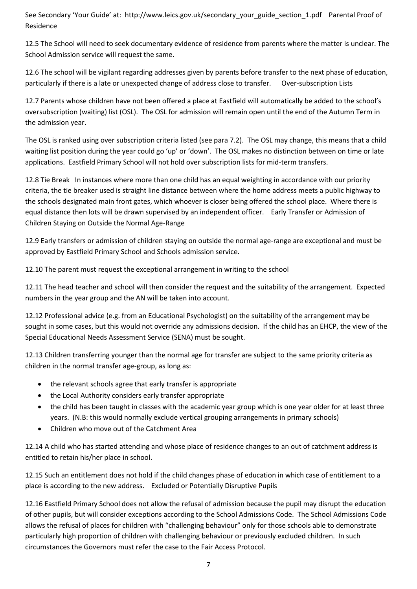See Secondary 'Your Guide' at: http://www.leics.gov.uk/secondary\_your\_guide\_section\_1.pdf Parental Proof of Residence

12.5 The School will need to seek documentary evidence of residence from parents where the matter is unclear. The School Admission service will request the same.

12.6 The school will be vigilant regarding addresses given by parents before transfer to the next phase of education, particularly if there is a late or unexpected change of address close to transfer. Over-subscription Lists

12.7 Parents whose children have not been offered a place at Eastfield will automatically be added to the school's oversubscription (waiting) list (OSL). The OSL for admission will remain open until the end of the Autumn Term in the admission year.

The OSL is ranked using over subscription criteria listed (see para 7.2). The OSL may change, this means that a child waiting list position during the year could go 'up' or 'down'. The OSL makes no distinction between on time or late applications. Eastfield Primary School will not hold over subscription lists for mid-term transfers.

12.8 Tie Break In instances where more than one child has an equal weighting in accordance with our priority criteria, the tie breaker used is straight line distance between where the home address meets a public highway to the schools designated main front gates, which whoever is closer being offered the school place. Where there is equal distance then lots will be drawn supervised by an independent officer. Early Transfer or Admission of Children Staying on Outside the Normal Age-Range

12.9 Early transfers or admission of children staying on outside the normal age-range are exceptional and must be approved by Eastfield Primary School and Schools admission service.

12.10 The parent must request the exceptional arrangement in writing to the school

12.11 The head teacher and school will then consider the request and the suitability of the arrangement. Expected numbers in the year group and the AN will be taken into account.

12.12 Professional advice (e.g. from an Educational Psychologist) on the suitability of the arrangement may be sought in some cases, but this would not override any admissions decision. If the child has an EHCP, the view of the Special Educational Needs Assessment Service (SENA) must be sought.

12.13 Children transferring younger than the normal age for transfer are subject to the same priority criteria as children in the normal transfer age-group, as long as:

- the relevant schools agree that early transfer is appropriate
- the Local Authority considers early transfer appropriate
- the child has been taught in classes with the academic year group which is one year older for at least three years. (N.B: this would normally exclude vertical grouping arrangements in primary schools)
- Children who move out of the Catchment Area

12.14 A child who has started attending and whose place of residence changes to an out of catchment address is entitled to retain his/her place in school.

12.15 Such an entitlement does not hold if the child changes phase of education in which case of entitlement to a place is according to the new address. Excluded or Potentially Disruptive Pupils

12.16 Eastfield Primary School does not allow the refusal of admission because the pupil may disrupt the education of other pupils, but will consider exceptions according to the School Admissions Code. The School Admissions Code allows the refusal of places for children with "challenging behaviour" only for those schools able to demonstrate particularly high proportion of children with challenging behaviour or previously excluded children. In such circumstances the Governors must refer the case to the Fair Access Protocol.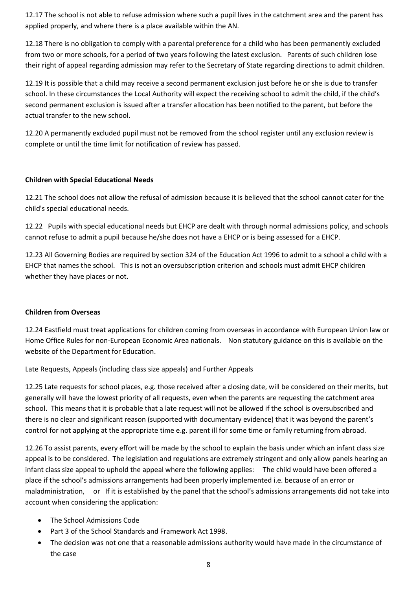12.17 The school is not able to refuse admission where such a pupil lives in the catchment area and the parent has applied properly, and where there is a place available within the AN.

12.18 There is no obligation to comply with a parental preference for a child who has been permanently excluded from two or more schools, for a period of two years following the latest exclusion. Parents of such children lose their right of appeal regarding admission may refer to the Secretary of State regarding directions to admit children.

12.19 It is possible that a child may receive a second permanent exclusion just before he or she is due to transfer school. In these circumstances the Local Authority will expect the receiving school to admit the child, if the child's second permanent exclusion is issued after a transfer allocation has been notified to the parent, but before the actual transfer to the new school.

12.20 A permanently excluded pupil must not be removed from the school register until any exclusion review is complete or until the time limit for notification of review has passed.

#### **Children with Special Educational Needs**

12.21 The school does not allow the refusal of admission because it is believed that the school cannot cater for the child's special educational needs.

12.22 Pupils with special educational needs but EHCP are dealt with through normal admissions policy, and schools cannot refuse to admit a pupil because he/she does not have a EHCP or is being assessed for a EHCP.

12.23 All Governing Bodies are required by section 324 of the Education Act 1996 to admit to a school a child with a EHCP that names the school. This is not an oversubscription criterion and schools must admit EHCP children whether they have places or not.

#### **Children from Overseas**

12.24 Eastfield must treat applications for children coming from overseas in accordance with European Union law or Home Office Rules for non-European Economic Area nationals. Non statutory guidance on this is available on the website of the Department for Education.

Late Requests, Appeals (including class size appeals) and Further Appeals

12.25 Late requests for school places, e.g. those received after a closing date, will be considered on their merits, but generally will have the lowest priority of all requests, even when the parents are requesting the catchment area school. This means that it is probable that a late request will not be allowed if the school is oversubscribed and there is no clear and significant reason (supported with documentary evidence) that it was beyond the parent's control for not applying at the appropriate time e.g. parent ill for some time or family returning from abroad.

12.26 To assist parents, every effort will be made by the school to explain the basis under which an infant class size appeal is to be considered. The legislation and regulations are extremely stringent and only allow panels hearing an infant class size appeal to uphold the appeal where the following applies: The child would have been offered a place if the school's admissions arrangements had been properly implemented i.e. because of an error or maladministration, or If it is established by the panel that the school's admissions arrangements did not take into account when considering the application:

- The School Admissions Code
- Part 3 of the School Standards and Framework Act 1998.
- The decision was not one that a reasonable admissions authority would have made in the circumstance of the case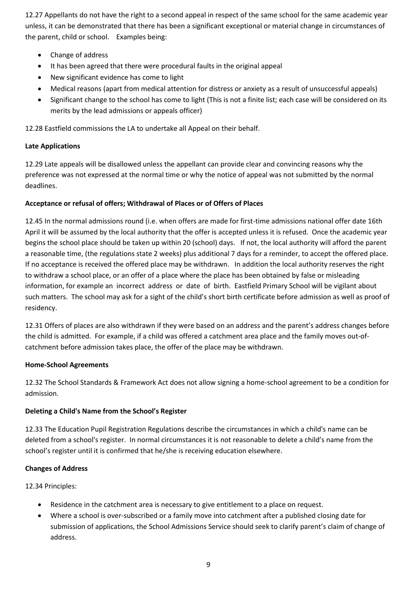12.27 Appellants do not have the right to a second appeal in respect of the same school for the same academic year unless, it can be demonstrated that there has been a significant exceptional or material change in circumstances of the parent, child or school. Examples being:

- Change of address
- It has been agreed that there were procedural faults in the original appeal
- New significant evidence has come to light
- Medical reasons (apart from medical attention for distress or anxiety as a result of unsuccessful appeals)
- Significant change to the school has come to light (This is not a finite list; each case will be considered on its merits by the lead admissions or appeals officer)

12.28 Eastfield commissions the LA to undertake all Appeal on their behalf.

#### **Late Applications**

12.29 Late appeals will be disallowed unless the appellant can provide clear and convincing reasons why the preference was not expressed at the normal time or why the notice of appeal was not submitted by the normal deadlines.

#### **Acceptance or refusal of offers; Withdrawal of Places or of Offers of Places**

12.45 In the normal admissions round (i.e. when offers are made for first-time admissions national offer date 16th April it will be assumed by the local authority that the offer is accepted unless it is refused. Once the academic year begins the school place should be taken up within 20 (school) days. If not, the local authority will afford the parent a reasonable time, (the regulations state 2 weeks) plus additional 7 days for a reminder, to accept the offered place. If no acceptance is received the offered place may be withdrawn. In addition the local authority reserves the right to withdraw a school place, or an offer of a place where the place has been obtained by false or misleading information, for example an incorrect address or date of birth. Eastfield Primary School will be vigilant about such matters. The school may ask for a sight of the child's short birth certificate before admission as well as proof of residency.

12.31 Offers of places are also withdrawn if they were based on an address and the parent's address changes before the child is admitted. For example, if a child was offered a catchment area place and the family moves out-ofcatchment before admission takes place, the offer of the place may be withdrawn.

#### **Home-School Agreements**

12.32 The School Standards & Framework Act does not allow signing a home-school agreement to be a condition for admission.

#### **Deleting a Child's Name from the School's Register**

12.33 The Education Pupil Registration Regulations describe the circumstances in which a child's name can be deleted from a school's register. In normal circumstances it is not reasonable to delete a child's name from the school's register until it is confirmed that he/she is receiving education elsewhere.

#### **Changes of Address**

12.34 Principles:

- Residence in the catchment area is necessary to give entitlement to a place on request.
- Where a school is over-subscribed or a family move into catchment after a published closing date for submission of applications, the School Admissions Service should seek to clarify parent's claim of change of address.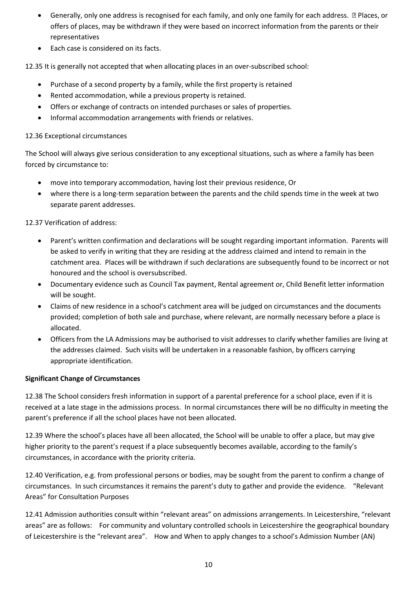- Generally, only one address is recognised for each family, and only one family for each address. ƒ Places, or offers of places, may be withdrawn if they were based on incorrect information from the parents or their representatives
- Each case is considered on its facts.

12.35 It is generally not accepted that when allocating places in an over-subscribed school:

- Purchase of a second property by a family, while the first property is retained
- Rented accommodation, while a previous property is retained.
- Offers or exchange of contracts on intended purchases or sales of properties.
- Informal accommodation arrangements with friends or relatives.

#### 12.36 Exceptional circumstances

The School will always give serious consideration to any exceptional situations, such as where a family has been forced by circumstance to:

- move into temporary accommodation, having lost their previous residence, Or
- where there is a long-term separation between the parents and the child spends time in the week at two separate parent addresses.

## 12.37 Verification of address:

- Parent's written confirmation and declarations will be sought regarding important information. Parents will be asked to verify in writing that they are residing at the address claimed and intend to remain in the catchment area. Places will be withdrawn if such declarations are subsequently found to be incorrect or not honoured and the school is oversubscribed.
- Documentary evidence such as Council Tax payment, Rental agreement or, Child Benefit letter information will be sought.
- Claims of new residence in a school's catchment area will be judged on circumstances and the documents provided; completion of both sale and purchase, where relevant, are normally necessary before a place is allocated.
- Officers from the LA Admissions may be authorised to visit addresses to clarify whether families are living at the addresses claimed. Such visits will be undertaken in a reasonable fashion, by officers carrying appropriate identification.

## **Significant Change of Circumstances**

12.38 The School considers fresh information in support of a parental preference for a school place, even if it is received at a late stage in the admissions process. In normal circumstances there will be no difficulty in meeting the parent's preference if all the school places have not been allocated.

12.39 Where the school's places have all been allocated, the School will be unable to offer a place, but may give higher priority to the parent's request if a place subsequently becomes available, according to the family's circumstances, in accordance with the priority criteria.

12.40 Verification, e.g. from professional persons or bodies, may be sought from the parent to confirm a change of circumstances. In such circumstances it remains the parent's duty to gather and provide the evidence. "Relevant Areas" for Consultation Purposes

12.41 Admission authorities consult within "relevant areas" on admissions arrangements. In Leicestershire, "relevant areas" are as follows: For community and voluntary controlled schools in Leicestershire the geographical boundary of Leicestershire is the "relevant area". How and When to apply changes to a school's Admission Number (AN)